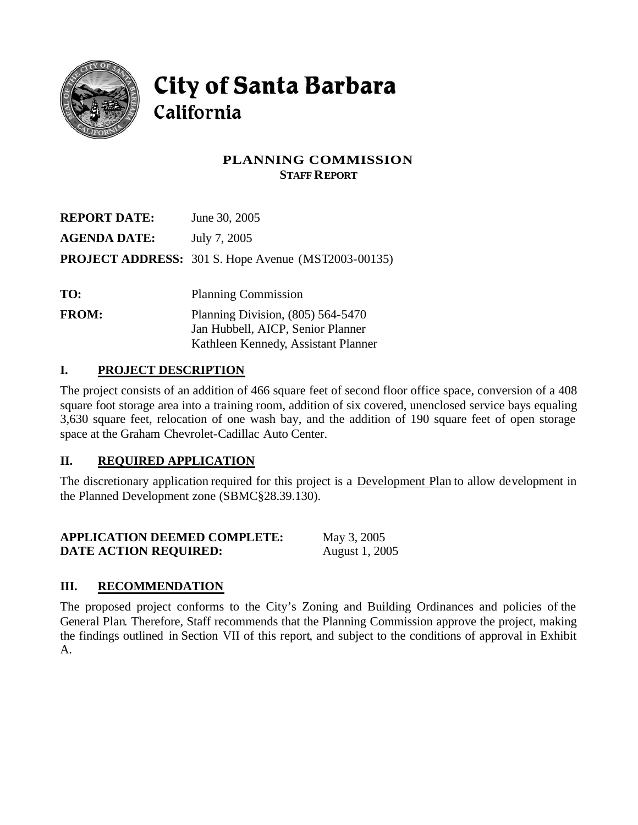

# City of Santa Barbara California

# **PLANNING COMMISSION STAFF REPORT**

| <b>REPORT DATE:</b> | June 30, 2005                                              |
|---------------------|------------------------------------------------------------|
| <b>AGENDA DATE:</b> | July 7, 2005                                               |
|                     | <b>PROJECT ADDRESS:</b> 301 S. Hope Avenue (MST2003-00135) |
|                     |                                                            |
| TO:                 | <b>Planning Commission</b>                                 |
| <b>FROM:</b>        | Planning Division, $(805)$ 564-5470                        |
|                     | Jan Hubbell, AICP, Senior Planner                          |
|                     | Kathleen Kennedy, Assistant Planner                        |

## **I. PROJECT DESCRIPTION**

The project consists of an addition of 466 square feet of second floor office space, conversion of a 408 square foot storage area into a training room, addition of six covered, unenclosed service bays equaling 3,630 square feet, relocation of one wash bay, and the addition of 190 square feet of open storage space at the Graham Chevrolet-Cadillac Auto Center.

### **II. REQUIRED APPLICATION**

The discretionary application required for this project is a Development Plan to allow development in the Planned Development zone (SBMC§28.39.130).

| <b>APPLICATION DEEMED COMPLETE:</b> | May 3, 2005           |
|-------------------------------------|-----------------------|
| <b>DATE ACTION REQUIRED:</b>        | <b>August 1, 2005</b> |

## **III. RECOMMENDATION**

The proposed project conforms to the City's Zoning and Building Ordinances and policies of the General Plan. Therefore, Staff recommends that the Planning Commission approve the project, making the findings outlined in Section VII of this report, and subject to the conditions of approval in Exhibit A.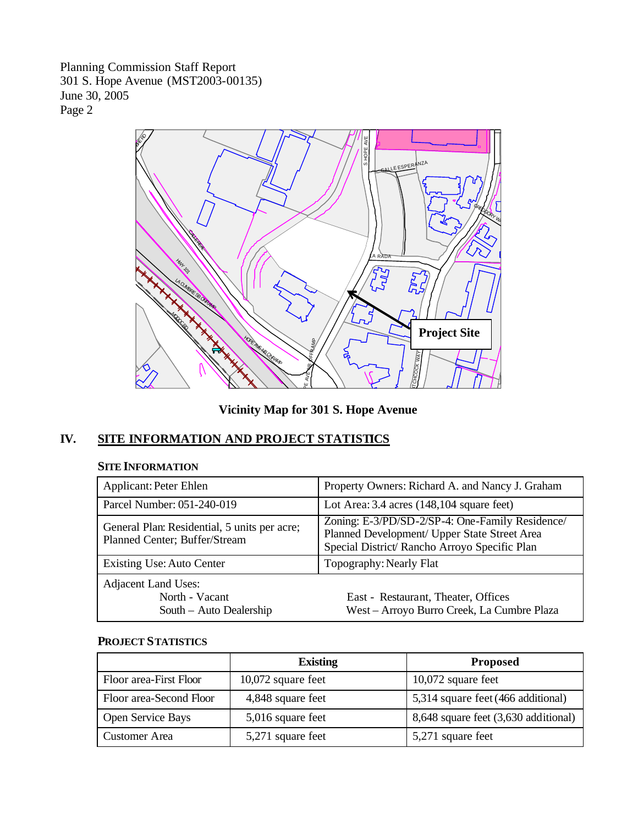Planning Commission Staff Report 301 S. Hope Avenue (MST2003-00135) June 30, 2005 Page 2



**Vicinity Map for 301 S. Hope Avenue**

# **IV. SITE INFORMATION AND PROJECT STATISTICS**

#### **SITE INFORMATION**

| <b>Applicant: Peter Ehlen</b>                                                 | Property Owners: Richard A. and Nancy J. Graham                                                                                                  |
|-------------------------------------------------------------------------------|--------------------------------------------------------------------------------------------------------------------------------------------------|
| Parcel Number: 051-240-019                                                    | Lot Area: $3.4$ acres $(148, 104)$ square feet)                                                                                                  |
| General Plan: Residential, 5 units per acre;<br>Planned Center; Buffer/Stream | Zoning: E-3/PD/SD-2/SP-4: One-Family Residence/<br>Planned Development/ Upper State Street Area<br>Special District/ Rancho Arroyo Specific Plan |
| Existing Use: Auto Center                                                     | Topography: Nearly Flat                                                                                                                          |
| <b>Adjacent Land Uses:</b><br>North - Vacant<br>South – Auto Dealership       | East - Restaurant, Theater, Offices<br>West - Arroyo Burro Creek, La Cumbre Plaza                                                                |

### **PROJECT STATISTICS**

|                          | <b>Existing</b>      | <b>Proposed</b>                      |  |
|--------------------------|----------------------|--------------------------------------|--|
| Floor area-First Floor   | $10,072$ square feet | $10,072$ square feet                 |  |
| Floor area-Second Floor  | 4,848 square feet    | 5,314 square feet (466 additional)   |  |
| <b>Open Service Bays</b> | 5,016 square feet    | 8,648 square feet (3,630 additional) |  |
| Customer Area            | 5,271 square feet    | 5,271 square feet                    |  |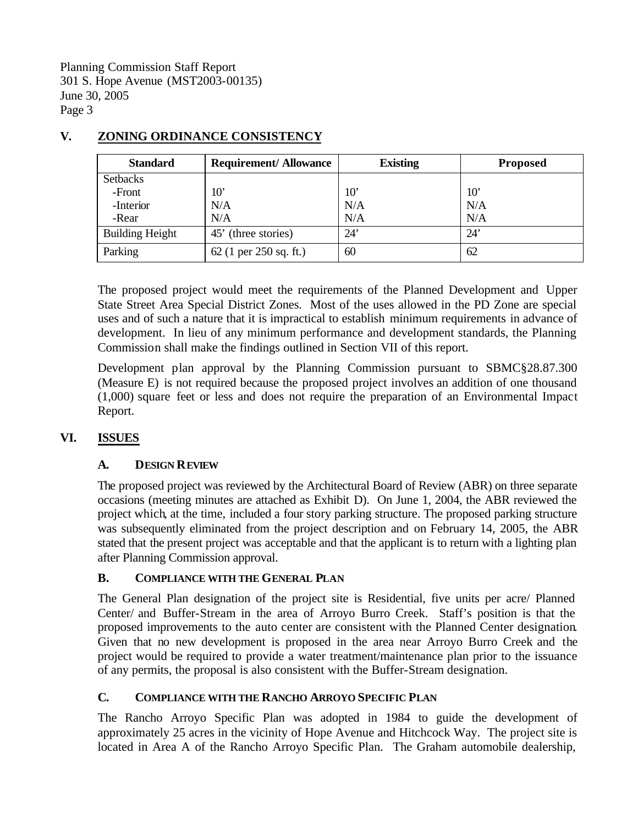Planning Commission Staff Report 301 S. Hope Avenue (MST2003-00135) June 30, 2005 Page 3

| <b>Standard</b>        | <b>Requirement/Allowance</b> | <b>Existing</b> | <b>Proposed</b> |
|------------------------|------------------------------|-----------------|-----------------|
| Setbacks               |                              |                 |                 |
| -Front                 | $10^{\circ}$                 | 10'             | 10'             |
| -Interior              | N/A                          | N/A             | N/A             |
| -Rear                  | N/A                          | N/A             | N/A             |
| <b>Building Height</b> | 45' (three stories)          | 24'             | 24'             |
| Parking                | $62$ (1 per 250 sq. ft.)     | 60              | 62              |

## **V. ZONING ORDINANCE CONSISTENCY**

The proposed project would meet the requirements of the Planned Development and Upper State Street Area Special District Zones. Most of the uses allowed in the PD Zone are special uses and of such a nature that it is impractical to establish minimum requirements in advance of development. In lieu of any minimum performance and development standards, the Planning Commission shall make the findings outlined in Section VII of this report.

Development plan approval by the Planning Commission pursuant to SBMC§28.87.300 (Measure E) is not required because the proposed project involves an addition of one thousand (1,000) square feet or less and does not require the preparation of an Environmental Impact Report.

## **VI. ISSUES**

### **A. DESIGN REVIEW**

The proposed project was reviewed by the Architectural Board of Review (ABR) on three separate occasions (meeting minutes are attached as Exhibit D). On June 1, 2004, the ABR reviewed the project which, at the time, included a four story parking structure. The proposed parking structure was subsequently eliminated from the project description and on February 14, 2005, the ABR stated that the present project was acceptable and that the applicant is to return with a lighting plan after Planning Commission approval.

### **B. COMPLIANCE WITH THE GENERAL PLAN**

The General Plan designation of the project site is Residential, five units per acre/ Planned Center/ and Buffer-Stream in the area of Arroyo Burro Creek. Staff's position is that the proposed improvements to the auto center are consistent with the Planned Center designation. Given that no new development is proposed in the area near Arroyo Burro Creek and the project would be required to provide a water treatment/maintenance plan prior to the issuance of any permits, the proposal is also consistent with the Buffer-Stream designation.

## **C. COMPLIANCE WITH THE RANCHO ARROYO SPECIFIC PLAN**

The Rancho Arroyo Specific Plan was adopted in 1984 to guide the development of approximately 25 acres in the vicinity of Hope Avenue and Hitchcock Way. The project site is located in Area A of the Rancho Arroyo Specific Plan. The Graham automobile dealership,